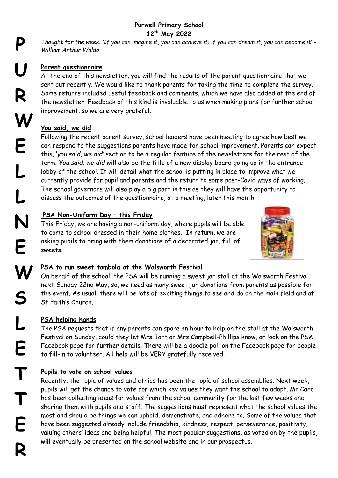## **Purwell Primary School 12 th May 2022**

*Thought for the week: 'If you can imagine it, you can achieve it; if you can dream it, you can become it' - William Arthur Waldo*

## **Parent questionnaire**

At the end of this newsletter, you will find the results of the parent questionnaire that we sent out recently. We would like to thank parents for taking the time to complete the survey. Some returns included useful feedback and comments, which we have also added at the end of the newsletter. Feedback of this kind is invaluable to us when making plans for further school improvement, so we are very grateful.

# **You said, we did**

Following the recent parent survey, school leaders have been meeting to agree how best we can respond to the suggestions parents have made for school improvement. Parents can expect this, '*you said, we did'* section to be a regular feature of the newsletters for the rest of the term. *You said, we did* will also be the title of a new display board going up in the entrance lobby of the school. It will detail what the school is putting in place to improve what we currently provide for pupil and parents and the return to some post-Covid ways of working. The school governors will also play a big part in this as they will have the opportunity to discuss the outcomes of the questionnaire, at a meeting, later this month.

# **PSA Non-Uniform Day – this Friday**

This Friday, we are having a non-uniform day, where pupils will be able to come to school dressed in their home clothes. In return, we are asking pupils to bring with them donations of a decorated jar, full of sweets.



# **PSA to run sweet tombola at the Walsworth Festival**

On behalf of the school, the PSA will be running a sweet jar stall at the Walsworth Festival, next Sunday 22nd May, so, we need as many sweet jar donations from parents as possible for the event. As usual, there will be lots of exciting things to see and do on the main field and at St Faith's Church.

# **PSA helping hands**

The PSA requests that if any parents can spare an hour to help on the stall at the Walsworth Festival on Sunday, could they let Mrs Tart or Mrs Campbell-Phillips know, or look on the PSA Facebook page for further details. There will be a doodle poll on the Facebook page for people to fill-in to volunteer. All help will be VERY gratefully received.

# **Pupils to vote on school values**

Recently, the topic of values and ethics has been the topic of school assemblies. Next week, pupils will get the chance to vote for which key values they want the school to adopt. Mr Cano has been collecting ideas for values from the school community for the last few weeks and sharing them with pupils and staff. The suggestions must represent what the school values the most and should be things we can uphold, demonstrate, and adhere to. Some of the values that have been suggested already include friendship, kindness, respect, perseverance, positivity, valuing others' ideas and being helpful. The most popular suggestions, as voted on by the pupils, will eventually be presented on the school website and in our prospectus.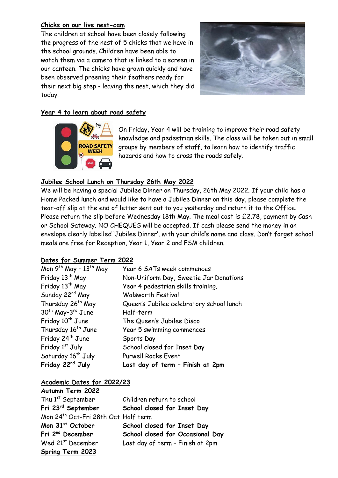### **Chicks on our live nest-cam**

The children at school have been closely following the progress of the nest of 5 chicks that we have in the school grounds. Children have been able to watch them via a camera that is linked to a screen in our canteen. The chicks have grown quickly and have been observed preening their feathers ready for their next big step - leaving the nest, which they did today.



## **Year 4 to learn about road safety**



On Friday, Year 4 will be training to improve their road safety knowledge and pedestrian skills. The class will be taken out in small groups by members of staff, to learn how to identify traffic hazards and how to cross the roads safely.

## **Jubilee School Lunch on Thursday 26th May 2022**

We will be having a special Jubilee Dinner on Thursday, 26th May 2022. If your child has a Home Packed lunch and would like to have a Jubilee Dinner on this day, please complete the tear-off slip at the end of letter sent out to you yesterday and return it to the Office. Please return the slip before Wednesday 18th May. The meal cost is £2.78, payment by Cash or School Gateway. NO CHEQUES will be accepted. If cash please send the money in an envelope clearly labelled 'Jubilee Dinner', with your child's name and class. Don't forget school meals are free for Reception, Year 1, Year 2 and FSM children.

### **Dates for Summer Term 2022**

| Friday 22 <sup>nd</sup> July              | Last day of term - Finish at 2pm         |
|-------------------------------------------|------------------------------------------|
| Saturday 16 <sup>th</sup> July            | <b>Purwell Rocks Event</b>               |
| Friday 1st July                           | School closed for Inset Day              |
| Friday 24 <sup>th</sup> June              | Sports Day                               |
| Thursday 16 <sup>th</sup> June            | Year 5 swimming commences                |
| Friday 10 <sup>th</sup> June              | The Queen's Jubilee Disco                |
| 30 <sup>th</sup> May-3 <sup>rd</sup> June | Half-term                                |
| Thursday 26 <sup>th</sup> May             | Queen's Jubilee celebratory school lunch |
| Sunday 22 <sup>nd</sup> May               | <b>Walsworth Festival</b>                |
| Friday 13 <sup>th</sup> May               | Year 4 pedestrian skills training.       |
| Friday 13 <sup>th</sup> May               | Non-Uniform Day, Sweetie Jar Donations   |
| Mon $9^{th}$ May - $13^{th}$ May          | Year 6 SATs week commences               |

### **Academic Dates for 2022/23**

| Autumn Term 2022                    |                                  |
|-------------------------------------|----------------------------------|
| Thu 1 <sup>st</sup> September       | Children return to school        |
| Fri 23rd September                  | School closed for Inset Day      |
| Mon 24th Oct-Fri 28th Oct Half term |                                  |
| Mon 31st October                    | School closed for Inset Day      |
| Fri 2 <sup>nd</sup> December        | School closed for Occasional Day |
| Wed 21 <sup>st</sup> December       | Last day of term - Finish at 2pm |
|                                     |                                  |

**Spring Term 2023**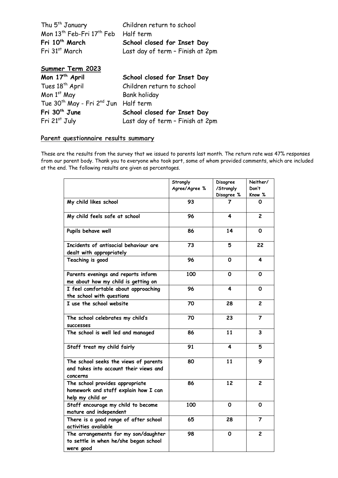| Thu 5 <sup>th</sup> January                                 | Children return to school        |
|-------------------------------------------------------------|----------------------------------|
| Mon 13 <sup>th</sup> Feb-Fri 17 <sup>th</sup> Feb Half term |                                  |
| Fri 10 <sup>th</sup> March                                  | School closed for Inset Day      |
| Fri 31 <sup>st</sup> March                                  | Last day of term - Finish at 2pm |

| Summer Term 2023                                             |                                  |
|--------------------------------------------------------------|----------------------------------|
| Mon 17th April                                               | School closed for Inset Day      |
| Tues 18 <sup>th</sup> April                                  | Children return to school        |
| Mon 1 <sup>st</sup> May                                      | Bank holiday                     |
| Tue 30 <sup>th</sup> May - Fri 2 <sup>nd</sup> Jun Half term |                                  |
| Fri 30 <sup>th</sup> June                                    | School closed for Inset Day      |
| Fri 21st July                                                | Last day of term - Finish at 2pm |

## **Parent questionnaire results summary**

These are the results from the survey that we issued to parents last month. The return rate was 47% responses from our parent body. Thank you to everyone who took part, some of whom provided comments, which are included at the end. The following results are given as percentages.

|                                                                                             | Strongly<br>Agree/Agree % | Disagree<br>/Strongly<br>Disagree % | Neither/<br>Don't<br>Know % |
|---------------------------------------------------------------------------------------------|---------------------------|-------------------------------------|-----------------------------|
| My child likes school                                                                       | 93                        | 7                                   | 0                           |
| My child feels safe at school                                                               | 96                        | 4                                   | 2                           |
| Pupils behave well                                                                          | 86                        | 14                                  | 0                           |
| Incidents of antisocial behaviour are<br>dealt with appropriately                           | 73                        | 5                                   | 22                          |
| Teaching is good                                                                            | 96                        | $\mathbf 0$                         | 4                           |
| Parents evenings and reports inform<br>me about how my child is getting on                  | 100                       | 0                                   | 0                           |
| I feel comfortable about approaching<br>the school with questions                           | 96                        | 4                                   | 0                           |
| I use the school website                                                                    | 70                        | 28                                  | 2                           |
| The school celebrates my child's<br><b>SUCCESSES</b>                                        | 70                        | 23                                  | 7                           |
| The school is well led and managed                                                          | 86                        | 11                                  | 3                           |
| Staff treat my child fairly                                                                 | 91                        | 4                                   | 5                           |
| The school seeks the views of parents<br>and takes into account their views and<br>concerns | 80                        | 11                                  | 9                           |
| The school provides appropriate<br>homework and staff explain how I can<br>help my child or | 86                        | 12                                  | $\overline{c}$              |
| Staff encourage my child to become<br>mature and independent                                | 100                       | O                                   | 0                           |
| There is a good range of after school<br>activities available                               | 65                        | 28                                  | 7                           |
| The arrangements for my son/daughter<br>to settle in when he/she began school<br>were good  | 98                        | $\mathbf 0$                         | 2                           |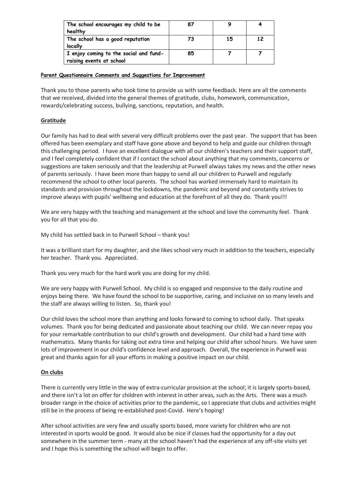| The school encourages my child to be   |    |    |    |
|----------------------------------------|----|----|----|
| healthy                                |    |    |    |
| The school has a good reputation       | 73 | 15 | 12 |
| locally                                |    |    |    |
| I enjoy coming to the social and fund- | 85 |    |    |
| raising events at school               |    |    |    |

#### **Parent Questionnaire Comments and Suggestions for Improvement**

Thank you to those parents who took time to provide us with some feedback. Here are all the comments that we received, divided into the general themes of gratitude, clubs, homework, communication, rewards/celebrating success, bullying, sanctions, reputation, and health.

#### **Gratitude**

Our family has had to deal with several very difficult problems over the past year. The support that has been offered has been exemplary and staff have gone above and beyond to help and guide our children through this challenging period. I have an excellent dialogue with all our children's teachers and their support staff, and I feel completely confident that if I contact the school about anything that my comments, concerns or suggestions are taken seriously and that the leadership at Purwell always takes my news and the other news of parents seriously. I have been more than happy to send all our children to Purwell and regularly recommend the school to other local parents. The school has worked immensely hard to maintain its standards and provision throughout the lockdowns, the pandemic and beyond and constantly strives to improve always with pupils' wellbeing and education at the forefront of all they do. Thank you!!!

We are very happy with the teaching and management at the school and love the community feel. Thank you for all that you do.

My child has settled back in to Purwell School – thank you!

It was a brilliant start for my daughter, and she likes school very much in addition to the teachers, especially her teacher. Thank you. Appreciated.

Thank you very much for the hard work you are doing for my child.

We are very happy with Purwell School. My child is so engaged and responsive to the daily routine and enjoys being there. We have found the school to be supportive, caring, and inclusive on so many levels and the staff are always willing to listen. So, thank you!

Our child loves the school more than anything and looks forward to coming to school daily. That speaks volumes. Thank you for being dedicated and passionate about teaching our child. We can never repay you for your remarkable contribution to our child's growth and development. Our child had a hard time with mathematics. Many thanks for taking out extra time and helping our child after school hours. We have seen lots of improvement in our child's confidence level and approach. Overall, the experience in Purwell was great and thanks again for all your efforts in making a positive impact on our child.

#### **On clubs**

There is currently very little in the way of extra-curricular provision at the school; it is largely sports-based, and there isn't a lot on offer for children with interest in other areas, such as the Arts. There was a much broader range in the choice of activities prior to the pandemic, so I appreciate that clubs and activities might still be in the process of being re-established post-Covid. Here's hoping!

After school activities are very few and usually sports based, more variety for children who are not interested in sports would be good. It would also be nice if classes had the opportunity for a day out somewhere in the summer term - many at the school haven't had the experience of any off-site visits yet and I hope this is something the school will begin to offer.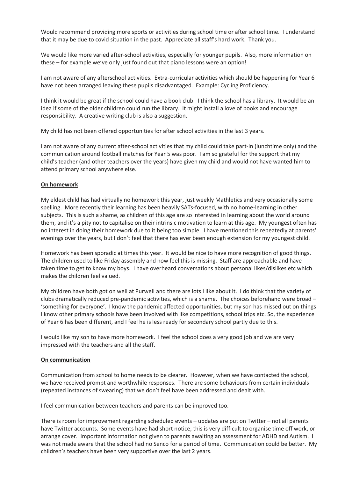Would recommend providing more sports or activities during school time or after school time. I understand that it may be due to covid situation in the past. Appreciate all staff's hard work. Thank you.

We would like more varied after-school activities, especially for younger pupils. Also, more information on these – for example we've only just found out that piano lessons were an option!

I am not aware of any afterschool activities. Extra-curricular activities which should be happening for Year 6 have not been arranged leaving these pupils disadvantaged. Example: Cycling Proficiency.

I think it would be great if the school could have a book club. I think the school has a library. It would be an idea if some of the older children could run the library. It might install a love of books and encourage responsibility. A creative writing club is also a suggestion.

My child has not been offered opportunities for after school activities in the last 3 years.

I am not aware of any current after-school activities that my child could take part-in (lunchtime only) and the communication around football matches for Year 5 was poor. I am so grateful for the support that my child's teacher (and other teachers over the years) have given my child and would not have wanted him to attend primary school anywhere else.

#### **On homework**

My eldest child has had virtually no homework this year, just weekly Mathletics and very occasionally some spelling. More recently their learning has been heavily SATs-focused, with no home-learning in other subjects. This is such a shame, as children of this age are so interested in learning about the world around them, and it's a pity not to capitalise on their intrinsic motivation to learn at this age. My youngest often has no interest in doing their homework due to it being too simple. I have mentioned this repeatedly at parents' evenings over the years, but I don't feel that there has ever been enough extension for my youngest child.

Homework has been sporadic at times this year. It would be nice to have more recognition of good things. The children used to like Friday assembly and now feel this is missing. Staff are approachable and have taken time to get to know my boys. I have overheard conversations about personal likes/dislikes etc which makes the children feel valued.

My children have both got on well at Purwell and there are lots I like about it. I do think that the variety of clubs dramatically reduced pre-pandemic activities, which is a shame. The choices beforehand were broad – 'something for everyone'. I know the pandemic affected opportunities, but my son has missed out on things I know other primary schools have been involved with like competitions, school trips etc. So, the experience of Year 6 has been different, and I feel he is less ready for secondary school partly due to this.

I would like my son to have more homework. I feel the school does a very good job and we are very impressed with the teachers and all the staff.

#### **On communication**

Communication from school to home needs to be clearer. However, when we have contacted the school, we have received prompt and worthwhile responses. There are some behaviours from certain individuals (repeated instances of swearing) that we don't feel have been addressed and dealt with.

I feel communication between teachers and parents can be improved too.

There is room for improvement regarding scheduled events – updates are put on Twitter – not all parents have Twitter accounts. Some events have had short notice, this is very difficult to organise time off work, or arrange cover. Important information not given to parents awaiting an assessment for ADHD and Autism. I was not made aware that the school had no Senco for a period of time. Communication could be better. My children's teachers have been very supportive over the last 2 years.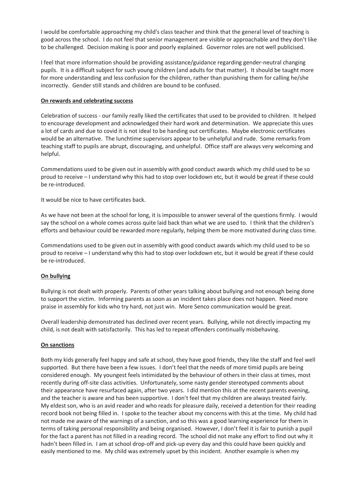I would be comfortable approaching my child's class teacher and think that the general level of teaching is good across the school. I do not feel that senior management are visible or approachable and they don't like to be challenged. Decision making is poor and poorly explained. Governor roles are not well publicised.

I feel that more information should be providing assistance/guidance regarding gender-neutral changing pupils. It is a difficult subject for such young children (and adults for that matter). It should be taught more for more understanding and less confusion for the children, rather than punishing them for calling he/she incorrectly. Gender still stands and children are bound to be confused.

#### **On rewards and celebrating success**

Celebration of success - our family really liked the certificates that used to be provided to children. It helped to encourage development and acknowledged their hard work and determination. We appreciate this uses a lot of cards and due to covid it is not ideal to be handing out certificates. Maybe electronic certificates would be an alternative. The lunchtime supervisors appear to be unhelpful and rude. Some remarks from teaching staff to pupils are abrupt, discouraging, and unhelpful. Office staff are always very welcoming and helpful.

Commendations used to be given out in assembly with good conduct awards which my child used to be so proud to receive – I understand why this had to stop over lockdown etc, but it would be great if these could be re-introduced.

It would be nice to have certificates back.

As we have not been at the school for long, it is impossible to answer several of the questions firmly. I would say the school on a whole comes across quite laid back than what we are used to. I think that the children's efforts and behaviour could be rewarded more regularly, helping them be more motivated during class time.

Commendations used to be given out in assembly with good conduct awards which my child used to be so proud to receive – I understand why this had to stop over lockdown etc, but it would be great if these could be re-introduced.

#### **On bullying**

Bullying is not dealt with properly. Parents of other years talking about bullying and not enough being done to support the victim. Informing parents as soon as an incident takes place does not happen. Need more praise in assembly for kids who try hard, not just win. More Senco communication would be great.

Overall leadership demonstrated has declined over recent years. Bullying, while not directly impacting my child, is not dealt with satisfactorily. This has led to repeat offenders continually misbehaving.

#### **On sanctions**

Both my kids generally feel happy and safe at school, they have good friends, they like the staff and feel well supported. But there have been a few issues. I don't feel that the needs of more timid pupils are being considered enough. My youngest feels intimidated by the behaviour of others in their class at times, most recently during off-site class activities. Unfortunately, some nasty gender stereotyped comments about their appearance have resurfaced again, after two years. I did mention this at the recent parents evening, and the teacher is aware and has been supportive. I don't feel that my children are always treated fairly. My eldest son, who is an avid reader and who reads for pleasure daily, received a detention for their reading record book not being filled in. I spoke to the teacher about my concerns with this at the time. My child had not made me aware of the warnings of a sanction, and so this was a good learning experience for them in terms of taking personal responsibility and being organised. However, I don't feel it is fair to punish a pupil for the fact a parent has not filled in a reading record. The school did not make any effort to find out why it hadn't been filled in. I am at school drop-off and pick-up every day and this could have been quickly and easily mentioned to me. My child was extremely upset by this incident. Another example is when my